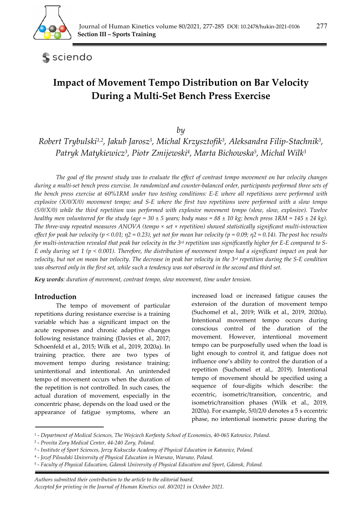

sciendo

# **Impact of Movement Tempo Distribution on Bar Velocity During a Multi-Set Bench Press Exercise**

# *by*

*Robert Trybulski1,2, Jakub Jarosz3, Michal Krzysztofik3, Aleksandra Filip-Stachnik3, Patryk Matykiewicz3, Piotr Zmijewski4, Marta Bichowska5, Michal Wilk3*

*The goal of the present study was to evaluate the effect of contrast tempo movement on bar velocity changes during a multi-set bench press exercise. In randomized and counter-balanced order, participants performed three sets of the bench press exercise at 60%1RM under two testing conditions: E-E where all repetitions were performed with explosive (X/0/X/0) movement tempo; and S-E where the first two repetitions were performed with a slow tempo (5/0/X/0) while the third repetition was performed with explosive movement tempo (slow, slow, explosive). Twelve healthy men volunteered for the study (age = 30*  $\pm$  *5 years; body mass = 88*  $\pm$  *10 kg; bench press 1RM = 145*  $\pm$  *24 kg). The three-way repeated measures ANOVA (tempo × set × repetition) showed statistically significant multi-interaction effect for peak bar velocity (p < 0.01; η2 = 0.23), yet not for mean bar velocity (p = 0.09; η2 = 0.14). The post hoc results for multi-interaction revealed that peak bar velocity in the 3rd repetition was significantly higher for E-E compared to S-E only during set 1 (p < 0.001). Therefore, the distribution of movement tempo had a significant impact on peak bar velocity, but not on mean bar velocity. The decrease in peak bar velocity in the 3rd repetition during the S-E condition was observed only in the first set, while such a tendency was not observed in the second and third set.* 

*Key words: duration of movement, contrast tempo, slow movement, time under tension.* 

# **Introduction**

The tempo of movement of particular repetitions during resistance exercise is a training variable which has a significant impact on the acute responses and chronic adaptive changes following resistance training (Davies et al., 2017; Schoenfeld et al., 2015; Wilk et al., 2019, 2020a). In training practice, there are two types of movement tempo during resistance training: unintentional and intentional. An unintended tempo of movement occurs when the duration of the repetition is not controlled. In such cases, the actual duration of movement, especially in the concentric phase, depends on the load used or the appearance of fatigue symptoms, where an increased load or increased fatigue causes the extension of the duration of movement tempo (Suchomel et al., 2019; Wilk et al., 2019, 2020a). Intentional movement tempo occurs during conscious control of the duration of the movement. However, intentional movement tempo can be purposefully used when the load is light enough to control it, and fatigue does not influence one's ability to control the duration of a repetition (Suchomel et al., 2019). Intentional tempo of movement should be specified using a sequence of four-digits which describe: the eccentric, isometric/transition, concentric, and isometric/transition phases (Wilk et al., 2019, 2020a). For example, 5/0/2/0 denotes a 5 s eccentric phase, no intentional isometric pause during the

*Authors submitted their contribution to the article to the editorial board.* 

<sup>1 -</sup> *Department of Medical Sciences, The Wojciech Korfanty School of Economics, 40-065 Katowice, Poland.* 

<sup>2 -</sup> *Provita Zory Medical Center, 44-240 Zory, Poland.* 

<sup>3 -</sup> *Institute of Sport Sciences, Jerzy Kukuczka Academy of Physical Education in Katowice, Poland.* 

<sup>4 -</sup> *Jozef Pilsudski University of Physical Education in Warsaw, Warsaw, Poland.* 

<sup>5 -</sup> *Faculty of Physical Education, Gdansk University of Physical Education and Sport, Gdansk, Poland.* 

*Accepted for printing in the Journal of Human Kinetics vol. 80/2021 in October 2021.*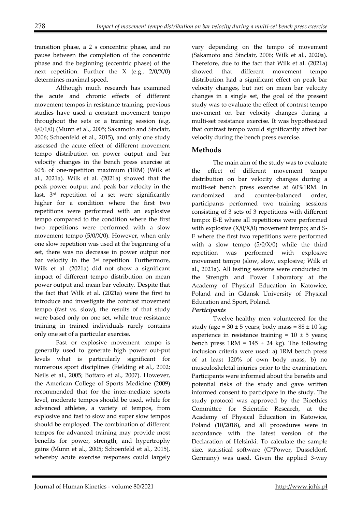transition phase, a 2 s concentric phase, and no pause between the completion of the concentric phase and the beginning (eccentric phase) of the next repetition. Further the  $X$  (e.g.,  $2/0/X/0$ ) determines maximal speed.

Although much research has examined the acute and chronic effects of different movement tempos in resistance training, previous studies have used a constant movement tempo throughout the sets or a training session (e.g. 6/0/1/0) (Munn et al., 2005; Sakamoto and Sinclair, 2006; Schoenfeld et al., 2015), and only one study assessed the acute effect of different movement tempo distribution on power output and bar velocity changes in the bench press exercise at 60% of one-repetition maximum (1RM) (Wilk et al., 2021a). Wilk et al. (2021a) showed that the peak power output and peak bar velocity in the last, 3rd repetition of a set were significantly higher for a condition where the first two repetitions were performed with an explosive tempo compared to the condition where the first two repetitions were performed with a slow movement tempo (5/0/X/0). However, when only one slow repetition was used at the beginning of a set, there was no decrease in power output nor bar velocity in the 3rd repetition. Furthermore, Wilk et al. (2021a) did not show a significant impact of different tempo distribution on mean power output and mean bar velocity. Despite that the fact that Wilk et al. (2021a) were the first to introduce and investigate the contrast movement tempo (fast vs. slow), the results of that study were based only on one set, while true resistance training in trained individuals rarely contains only one set of a particular exercise.

Fast or explosive movement tempo is generally used to generate high power out-put levels what is particularly significant for numerous sport disciplines (Fielding et al., 2002; Neils et al., 2005; Bottaro et al., 2007). However, the American College of Sports Medicine (2009) recommended that for the inter-mediate sports level, moderate tempos should be used, while for advanced athletes, a variety of tempos, from explosive and fast to slow and super slow tempos should be employed. The combination of different tempos for advanced training may provide most benefits for power, strength, and hypertrophy gains (Munn et al., 2005; Schoenfeld et al., 2015), whereby acute exercise responses could largely

vary depending on the tempo of movement (Sakamoto and Sinclair, 2006; Wilk et al., 2020a). Therefore, due to the fact that Wilk et al. (2021a) showed that different movement tempo distribution had a significant effect on peak bar velocity changes, but not on mean bar velocity changes in a single set, the goal of the present study was to evaluate the effect of contrast tempo movement on bar velocity changes during a multi-set resistance exercise. It was hypothesized that contrast tempo would significantly affect bar velocity during the bench press exercise.

# **Methods**

The main aim of the study was to evaluate the effect of different movement tempo distribution on bar velocity changes during a multi-set bench press exercise at 60%1RM. In randomized and counter-balanced order, participants performed two training sessions consisting of 3 sets of 3 repetitions with different tempo: E-E where all repetitions were performed with explosive  $(X/0/X/0)$  movement tempo; and S-E where the first two repetitions were performed with a slow tempo  $(5/0/X/0)$  while the third repetition was performed with explosive movement tempo (slow, slow, explosive; Wilk et al., 2021a). All testing sessions were conducted in the Strength and Power Laboratory at the Academy of Physical Education in Katowice, Poland and in Gdansk University of Physical Education and Sport, Poland.

# *Participants*

Twelve healthy men volunteered for the study (age =  $30 \pm 5$  years; body mass =  $88 \pm 10$  kg; experience in resistance training =  $10 \pm 5$  years; bench press  $1RM = 145 \pm 24$  kg). The following inclusion criteria were used: a) 1RM bench press of at least 120% of own body mass, b) no musculoskeletal injuries prior to the examination. Participants were informed about the benefits and potential risks of the study and gave written informed consent to participate in the study. The study protocol was approved by the Bioethics Committee for Scientific Research, at the Academy of Physical Education in Katowice, Poland (10/2018), and all procedures were in accordance with the latest version of the Declaration of Helsinki. To calculate the sample size, statistical software (G\*Power, Dusseldorf, Germany) was used. Given the applied 3-way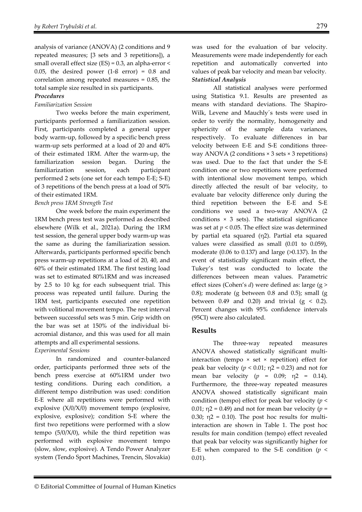analysis of variance (ANOVA) (2 conditions and 9 repeated measures; [3 sets and 3 repetitions]), a small overall effect size  $(ES) = 0.3$ , an alpha-error < 0.05, the desired power  $(1-\beta \text{ error}) = 0.8$  and correlation among repeated measures = 0.85, the total sample size resulted in six participants.

#### *Procedures*

# *Familiarization Session*

Two weeks before the main experiment, participants performed a familiarization session. First, participants completed a general upper body warm-up, followed by a specific bench press warm-up sets performed at a load of 20 and 40% of their estimated 1RM. After the warm-up, the familiarization session began. During the familiarization session, each participant performed 2 sets (one set for each tempo E-E; S-E) of 3 repetitions of the bench press at a load of 50% of their estimated 1RM.

#### *Bench press 1RM Strength Test*

One week before the main experiment the 1RM bench press test was performed as described elsewhere (Wilk et al., 2021a). During the 1RM test session, the general upper body warm-up was the same as during the familiarization session. Afterwards, participants performed specific bench press warm-up repetitions at a load of 20, 40, and 60% of their estimated 1RM. The first testing load was set to estimated 80%1RM and was increased by 2.5 to 10 kg for each subsequent trial. This process was repeated until failure. During the 1RM test, participants executed one repetition with volitional movement tempo. The rest interval between successful sets was 5 min. Grip width on the bar was set at 150% of the individual biacromial distance, and this was used for all main attempts and all experimental sessions.

#### *Experimental Sessions*

In randomized and counter-balanced order, participants performed three sets of the bench press exercise at 60%1RM under two testing conditions. During each condition, a different tempo distribution was used: condition E-E where all repetitions were performed with explosive (X/0/X/0) movement tempo (explosive, explosive, explosive); condition S-E where the first two repetitions were performed with a slow tempo  $(5/0/X/0)$ , while the third repetition was performed with explosive movement tempo (slow, slow, explosive). A Tendo Power Analyzer system (Tendo Sport Machines, Trencin, Slovakia)

was used for the evaluation of bar velocity. Measurements were made independently for each repetition and automatically converted into values of peak bar velocity and mean bar velocity. *Statistical Analysis* 

 All statistical analyses were performed using Statistica 9.1. Results are presented as means with standard deviations. The Shapiro-Wilk, Levene and Mauchly´s tests were used in order to verify the normality, homogeneity and sphericity of the sample data variances, respectively. To evaluate differences in bar velocity between E-E and S-E conditions threeway ANOVA (2 conditions × 3 sets × 3 repetitions) was used. Due to the fact that under the S-E condition one or two repetitions were performed with intentional slow movement tempo, which directly affected the result of bar velocity, to evaluate bar velocity difference only during the third repetition between the E-E and S-E conditions we used a two-way ANOVA (2 conditions  $\times$  3 sets). The statistical significance was set at  $p < 0.05$ . The effect size was determined by partial eta squared (η2). Partial eta squared values were classified as small (0.01 to 0.059), moderate (0.06 to 0.137) and large (>0.137). In the event of statistically significant main effect, the Tukey's test was conducted to locate the differences between mean values. Parametric effect sizes (Cohen's *d*) were defined as: large (g > 0.8); moderate (g between 0.8 and 0.5); small (g between 0.49 and 0.20) and trivial  $(g < 0.2)$ . Percent changes with 95% confidence intervals (95CI) were also calculated.

# **Results**

The three-way repeated measures ANOVA showed statistically significant multiinteraction (tempo × set × repetition) effect for peak bar velocity ( $p$  < 0.01;  $η$ 2 = 0.23) and not for mean bar velocity (*p* = 0.09; η2 = 0.14). Furthermore, the three-way repeated measures ANOVA showed statistically significant main condition (tempo) effect for peak bar velocity (*p* < 0.01;  $\eta$ 2 = 0.49) and not for mean bar velocity ( $p$  = 0.30;  $\eta$ 2 = 0.10). The post hoc results for multiinteraction are shown in Table 1. The post hoc results for main condition (tempo) effect revealed that peak bar velocity was significantly higher for E-E when compared to the S-E condition  $(p \leq$ 0.01).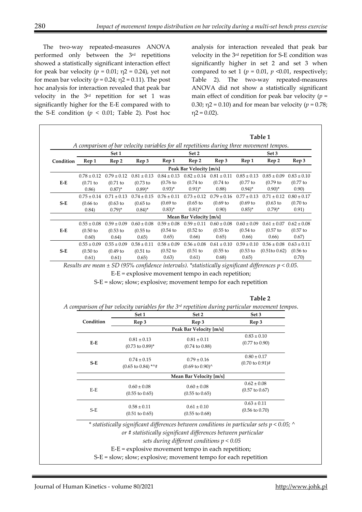The two-way repeated-measures ANOVA performed only between the 3rd repetitions showed a statistically significant interaction effect for peak bar velocity  $(p = 0.01; \eta2 = 0.24)$ , yet not for mean bar velocity ( $p = 0.24$ ;  $\eta$ 2 = 0.11). The post hoc analysis for interaction revealed that peak bar velocity in the 3rd repetition for set 1 was significantly higher for the E-E compared with to the S-E condition ( $p < 0.01$ ; Table 2). Post hoc analysis for interaction revealed that peak bar velocity in the 3rd repetition for S-E condition was significantly higher in set 2 and set 3 when compared to set 1 ( $p = 0.01$ ,  $p \le 0.01$ , respectively; Table 2). The two-way repeated-measures ANOVA did not show a statistically significant main effect of condition for peak bar velocity  $(p =$ 0.30;  $\eta$ 2 = 0.10) and for mean bar velocity ( $p = 0.78$ ;  $\eta$ 2 = 0.02).

| Condition | Set 1           |                                                 |                               | A comparison of bar velocity variables for all repetitions during three movement tempos.<br>Set 2 |                                                               |                                 | Set 3                       |                                                                                                       |                 |
|-----------|-----------------|-------------------------------------------------|-------------------------------|---------------------------------------------------------------------------------------------------|---------------------------------------------------------------|---------------------------------|-----------------------------|-------------------------------------------------------------------------------------------------------|-----------------|
|           | Rep 1           | Rep 2                                           | Rep 3                         | Rep 1                                                                                             | Rep 2                                                         | Rep 3                           | Rep 1                       | Rep 2                                                                                                 | Rep 3           |
|           |                 |                                                 |                               |                                                                                                   | Peak Bar Velocity [m/s]                                       |                                 |                             |                                                                                                       |                 |
|           |                 | $0.78 \pm 0.12$ $0.79 \pm 0.12$ $0.81 \pm 0.13$ |                               |                                                                                                   | $0.84 \pm 0.13$ $0.82 \pm 0.14$ $0.81 \pm 0.11$               |                                 | $0.85 \pm 0.13$             | $0.85 \pm 0.09$                                                                                       | $0.83 \pm 0.10$ |
| E-E       | $(0.71)$ to     | (0.71)                                          | $(0.73)$ to                   | $(0.76)$ to                                                                                       | (0.74)                                                        | (0.74)                          | $(0.77)$ to                 | $(0.79)$ to                                                                                           | $(0.77)$ to     |
|           | 0.86)           | $0.87)^{*}$                                     | $(0.89)^*$                    | $(0.93)^*$                                                                                        | $0.91)$ *                                                     | 0.88)                           | $(0.94)^*$                  | $(0.90)$ *                                                                                            | 0.90)           |
| $S-E$     | $0.75 \pm 0.14$ | $0.71 \pm 0.13$                                 | $0.74 \pm 0.15$               | $0.76 \pm 0.11$                                                                                   | $0.73 \pm 0.12$                                               | $0.79 \pm 0.16$                 | $0.77 \pm 0.13$             | $0.71 \pm 0.12$                                                                                       | $0.80 \pm 0.17$ |
|           | $(0.66)$ to     | $(0.63)$ to                                     | $(0.65)$ to                   | $(0.69)$ to                                                                                       | $(0.65)$ to                                                   | $(0.69)$ to                     | $(0.69)$ to                 | $(0.63)$ to                                                                                           | $(0.70)$ to     |
|           | 0.84)           | $(0.79)^*$                                      | $0.84$ <sup>*</sup>           | $(0.83)^*$                                                                                        | $(0.81)^*$                                                    | 0.90)                           | $(0.85)^*$                  | $(0.79)^*$                                                                                            | 0.91)           |
|           |                 |                                                 |                               |                                                                                                   | Mean Bar Velocity [m/s]                                       |                                 |                             |                                                                                                       |                 |
| E-E       | $0.55 \pm 0.08$ | $0.59 \pm 0.09$                                 | $0.60 \pm 0.08$               | $0.59 \pm 0.08$                                                                                   |                                                               | $0.59 \pm 0.11$ $0.60 \pm 0.08$ | $0.60 \pm 0.09$             | $0.61 \pm 0.07$                                                                                       | $0.62 \pm 0.08$ |
|           | $(0.50)$ to     | $(0.53)$ to                                     | $(0.55)$ to                   | $(0.54)$ to                                                                                       | $(0.52)$ to                                                   | $(0.55$ to                      | $(0.54)$ to                 | $(0.57)$ to                                                                                           | $(0.57)$ to     |
|           | 0.60)           | 0.64)                                           | 0.65)                         | 0.65)                                                                                             | 0.66)                                                         | 0.65)                           | 0.66)                       | 0.66)                                                                                                 | 0.67)           |
| $S-E$     | $0.55 \pm 0.09$ | $0.55 \pm 0.09$                                 | $0.58 \pm 0.11$               | $0.58 \pm 0.09$                                                                                   | $0.56\pm0.08$                                                 | $0.61 \pm 0.10$                 | $0.59 \pm 0.10$             | $0.56 \pm 0.08$ $0.63 \pm 0.11$                                                                       |                 |
|           | $(0.50)$ to     | $(0.49)$ to                                     | $(0.51)$ to                   | $(0.52)$ to                                                                                       | $(0.51)$ to                                                   | $(0.55$ to                      | $(0.53)$ to                 | (0.51 to 0.62)                                                                                        | $(0.56)$ to     |
|           | 0.61)           | 0.61)                                           | 0.65)                         | 0.63)                                                                                             | 0.61)                                                         | 0.68)                           | 0.65)                       |                                                                                                       | 0.70)           |
|           |                 |                                                 |                               |                                                                                                   |                                                               |                                 |                             | Table 2                                                                                               |                 |
|           |                 |                                                 | Set 1                         |                                                                                                   | Set 2                                                         |                                 | Set 3                       | A comparison of bar velocity variables for the $3^{rd}$ repetition during particular movement tempos. |                 |
|           | Condition       |                                                 | Rep 3                         |                                                                                                   | Rep 3                                                         |                                 | Rep 3                       |                                                                                                       |                 |
|           |                 |                                                 |                               |                                                                                                   | Peak Bar Velocity [m/s]                                       |                                 |                             |                                                                                                       |                 |
|           |                 |                                                 | $0.81 \pm 0.13$               |                                                                                                   | $0.81 \pm 0.11$                                               |                                 | $0.83 \pm 0.10$             |                                                                                                       |                 |
|           | $E-E$           |                                                 | $(0.73 \text{ to } 0.89)^*$   |                                                                                                   | $(0.74 \text{ to } 0.88)$                                     |                                 | $(0.77 \text{ to } 0.90)$   |                                                                                                       |                 |
|           |                 |                                                 |                               |                                                                                                   |                                                               |                                 |                             |                                                                                                       |                 |
|           |                 |                                                 | $0.74 \pm 0.15$               |                                                                                                   | $0.79 \pm 0.16$                                               |                                 | $0.80 \pm 0.17$             |                                                                                                       |                 |
|           | $S-E$           |                                                 | $(0.65 \text{ to } 0.84)$ *^# |                                                                                                   | $(0.69 \text{ to } 0.90)$ <sup>^</sup>                        |                                 | $(0.70 \text{ to } 0.91)$ # |                                                                                                       |                 |
|           |                 |                                                 |                               |                                                                                                   | Mean Bar Velocity [m/s]                                       |                                 |                             |                                                                                                       |                 |
|           |                 |                                                 |                               |                                                                                                   |                                                               |                                 | $0.62\pm0.08$               |                                                                                                       |                 |
|           | $E-E$           |                                                 | $0.60 \pm 0.08$               |                                                                                                   | $0.60 \pm 0.08$                                               |                                 | $(0.57 \text{ to } 0.67)$   |                                                                                                       |                 |
|           |                 |                                                 | $(0.55 \text{ to } 0.65)$     |                                                                                                   | $(0.55 \text{ to } 0.65)$                                     |                                 |                             |                                                                                                       |                 |
|           |                 |                                                 |                               |                                                                                                   |                                                               |                                 | $0.63 \pm 0.11$             |                                                                                                       |                 |
|           | $S-E$           |                                                 | $0.58 \pm 0.11$               |                                                                                                   | $0.61 \pm 0.10$                                               |                                 | $(0.56 \text{ to } 0.70)$   |                                                                                                       |                 |
|           |                 |                                                 | $(0.51 \text{ to } 0.65)$     |                                                                                                   | $(0.55 \text{ to } 0.68)$                                     |                                 |                             |                                                                                                       |                 |
|           |                 |                                                 |                               |                                                                                                   |                                                               |                                 |                             | * statistically significant differences between conditions in particular sets $p < 0.05$ ; $\wedge$   |                 |
|           |                 |                                                 |                               |                                                                                                   | or # statistically significant differences between particular |                                 |                             |                                                                                                       |                 |
|           |                 |                                                 |                               |                                                                                                   | sets during different conditions $p < 0.05$                   |                                 |                             |                                                                                                       |                 |

 $\overline{1}$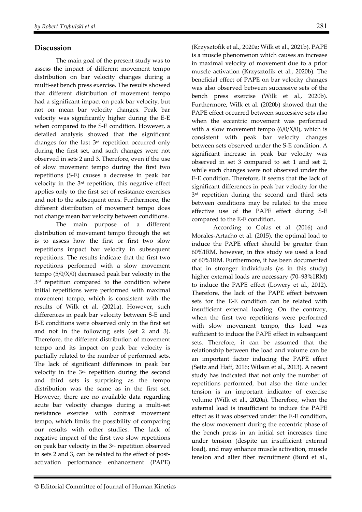# **Discussion**

The main goal of the present study was to assess the impact of different movement tempo distribution on bar velocity changes during a multi-set bench press exercise. The results showed that different distribution of movement tempo had a significant impact on peak bar velocity, but not on mean bar velocity changes. Peak bar velocity was significantly higher during the E-E when compared to the S-E condition. However, a detailed analysis showed that the significant changes for the last 3rd repetition occurred only during the first set, and such changes were not observed in sets 2 and 3. Therefore, even if the use of slow movement tempo during the first two repetitions (S-E) causes a decrease in peak bar velocity in the 3rd repetition, this negative effect applies only to the first set of resistance exercises and not to the subsequent ones. Furthermore, the different distribution of movement tempo does not change mean bar velocity between conditions.

The main purpose of a different distribution of movement tempo through the set is to assess how the first or first two slow repetitions impact bar velocity in subsequent repetitions. The results indicate that the first two repetitions performed with a slow movement tempo (5/0/X/0) decreased peak bar velocity in the 3<sup>rd</sup> repetition compared to the condition where initial repetitions were performed with maximal movement tempo, which is consistent with the results of Wilk et al. (2021a). However, such differences in peak bar velocity between S-E and E-E conditions were observed only in the first set and not in the following sets (set 2 and 3). Therefore, the different distribution of movement tempo and its impact on peak bar velocity is partially related to the number of performed sets. The lack of significant differences in peak bar velocity in the 3rd repetition during the second and third sets is surprising as the tempo distribution was the same as in the first set. However, there are no available data regarding acute bar velocity changes during a multi-set resistance exercise with contrast movement tempo, which limits the possibility of comparing our results with other studies. The lack of negative impact of the first two slow repetitions on peak bar velocity in the 3rd repetition observed in sets 2 and 3, can be related to the effect of postactivation performance enhancement (PAPE)

(Krzysztofik et al., 2020a; Wilk et al., 2021b). PAPE is a muscle phenomenon which causes an increase in maximal velocity of movement due to a prior muscle activation (Krzysztofik et al., 2020b). The beneficial effect of PAPE on bar velocity changes was also observed between successive sets of the bench press exercise (Wilk et al., 2020b). Furthermore, Wilk et al. (2020b) showed that the PAPE effect occurred between successive sets also when the eccentric movement was performed with a slow movement tempo  $(6/0/X/0)$ , which is consistent with peak bar velocity changes between sets observed under the S-E condition. A significant increase in peak bar velocity was observed in set 3 compared to set 1 and set 2, while such changes were not observed under the E-E condition. Therefore, it seems that the lack of significant differences in peak bar velocity for the 3<sup>rd</sup> repetition during the second and third sets between conditions may be related to the more effective use of the PAPE effect during S-E compared to the E-E condition.

According to Golas et al. (2016) and Morales-Artacho et al. (2015), the optimal load to induce the PAPE effect should be greater than 60%1RM, however, in this study we used a load of 60%1RM. Furthermore, it has been documented that in stronger individuals (as in this study) higher external loads are necessary (70–93%1RM) to induce the PAPE effect (Lowery et al., 2012). Therefore, the lack of the PAPE effect between sets for the E-E condition can be related with insufficient external loading. On the contrary, when the first two repetitions were performed with slow movement tempo, this load was sufficient to induce the PAPE effect in subsequent sets. Therefore, it can be assumed that the relationship between the load and volume can be an important factor inducing the PAPE effect (Seitz and Haff, 2016; Wilson et al., 2013). A recent study has indicated that not only the number of repetitions performed, but also the time under tension is an important indicator of exercise volume (Wilk et al., 2020a). Therefore, when the external load is insufficient to induce the PAPE effect as it was observed under the E-E condition, the slow movement during the eccentric phase of the bench press in an initial set increases time under tension (despite an insufficient external load), and may enhance muscle activation, muscle tension and alter fiber recruitment (Burd et al.,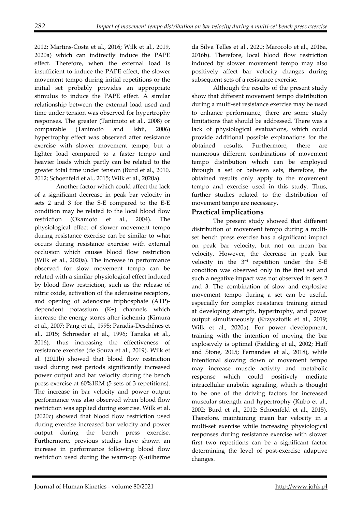2012; Martins-Costa et al., 2016; Wilk et al., 2019, 2020a) which can indirectly induce the PAPE effect. Therefore, when the external load is insufficient to induce the PAPE effect, the slower movement tempo during initial repetitions or the initial set probably provides an appropriate stimulus to induce the PAPE effect. A similar relationship between the external load used and time under tension was observed for hypertrophy responses. The greater (Tanimoto et al., 2008) or comparable (Tanimoto and Ishii, 2006) hypertrophy effect was observed after resistance exercise with slower movement tempo, but a lighter load compared to a faster tempo and heavier loads which partly can be related to the greater total time under tension (Burd et al., 2010, 2012; Schoenfeld et al., 2015; Wilk et al., 2020a).

Another factor which could affect the lack of a significant decrease in peak bar velocity in sets 2 and 3 for the S-E compared to the E-E condition may be related to the local blood flow restriction (Okamoto et al., 2004). The physiological effect of slower movement tempo during resistance exercise can be similar to what occurs during resistance exercise with external occlusion which causes blood flow restriction (Wilk et al., 2020a). The increase in performance observed for slow movement tempo can be related with a similar physiological effect induced by blood flow restriction, such as the release of nitric oxide, activation of the adenosine receptors, and opening of adenosine triphosphate (ATP) dependent potassium (K+) channels which increase the energy stores after ischemia (Kimura et al., 2007; Pang et al., 1995; Paradis-Deschênes et al., 2015; Schroeder et al., 1996; Tanaka et al., 2016), thus increasing the effectiveness of resistance exercise (de Souza et al., 2019). Wilk et al. (2021b) showed that blood flow restriction used during rest periods significantly increased power output and bar velocity during the bench press exercise at 60%1RM (5 sets of 3 repetitions). The increase in bar velocity and power output performance was also observed when blood flow restriction was applied during exercise. Wilk et al. (2020c) showed that blood flow restriction used during exercise increased bar velocity and power output during the bench press exercise. Furthermore, previous studies have shown an increase in performance following blood flow restriction used during the warm-up (Guilherme

da Silva Telles et al., 2020; Marocolo et al., 2016a, 2016b). Therefore, local blood flow restriction induced by slower movement tempo may also positively affect bar velocity changes during subsequent sets of a resistance exercise.

Although the results of the present study show that different movement tempo distribution during a multi-set resistance exercise may be used to enhance performance, there are some study limitations that should be addressed. There was a lack of physiological evaluations, which could provide additional possible explanations for the obtained results. Furthermore, there are numerous different combinations of movement tempo distribution which can be employed through a set or between sets, therefore, the obtained results only apply to the movement tempo and exercise used in this study. Thus, further studies related to the distribution of movement tempo are necessary.

# **Practical implications**

The present study showed that different distribution of movement tempo during a multiset bench press exercise has a significant impact on peak bar velocity, but not on mean bar velocity. However, the decrease in peak bar velocity in the 3rd repetition under the S-E condition was observed only in the first set and such a negative impact was not observed in sets 2 and 3. The combination of slow and explosive movement tempo during a set can be useful, especially for complex resistance training aimed at developing strength, hypertrophy, and power output simultaneously (Krzysztofik et al., 2019; Wilk et al., 2020a). For power development, training with the intention of moving the bar explosively is optimal (Fielding et al., 2002; Haff and Stone, 2015; Fernandes et al., 2018), while intentional slowing down of movement tempo may increase muscle activity and metabolic response which could positively mediate intracellular anabolic signaling, which is thought to be one of the driving factors for increased muscular strength and hypertrophy (Kubo et al., 2002; Burd et al., 2012; Schoenfeld et al., 2015). Therefore, maintaining mean bar velocity in a multi-set exercise while increasing physiological responses during resistance exercise with slower first two repetitions can be a significant factor determining the level of post-exercise adaptive changes.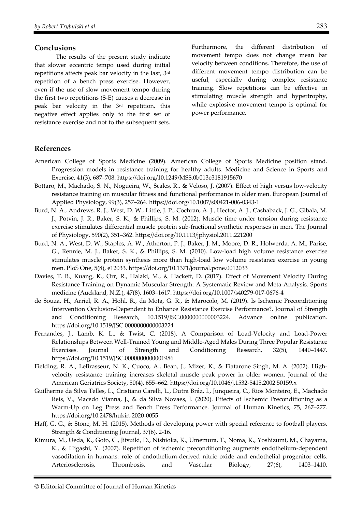# **Conclusions**

The results of the present study indicate that slower eccentric tempo used during initial repetitions affects peak bar velocity in the last, 3rd repetition of a bench press exercise. However, even if the use of slow movement tempo during the first two repetitions (S-E) causes a decrease in peak bar velocity in the 3rd repetition, this negative effect applies only to the first set of resistance exercise and not to the subsequent sets.

Furthermore, the different distribution of movement tempo does not change mean bar velocity between conditions. Therefore, the use of different movement tempo distribution can be useful, especially during complex resistance training. Slow repetitions can be effective in stimulating muscle strength and hypertrophy, while explosive movement tempo is optimal for power performance.

# **References**

- American College of Sports Medicine (2009). American College of Sports Medicine position stand. Progression models in resistance training for healthy adults. Medicine and Science in Sports and Exercise, 41(3), 687–708. https://doi.org/10.1249/MSS.0b013e3181915670
- Bottaro, M., Machado, S. N., Nogueira, W., Scales, R., & Veloso, J. (2007). Effect of high versus low-velocity resistance training on muscular fitness and functional performance in older men. European Journal of Applied Physiology, 99(3), 257–264. https://doi.org/10.1007/s00421-006-0343-1
- Burd, N. A., Andrews, R. J., West, D. W., Little, J. P., Cochran, A. J., Hector, A. J., Cashaback, J. G., Gibala, M. J., Potvin, J. R., Baker, S. K., & Phillips, S. M. (2012). Muscle time under tension during resistance exercise stimulates differential muscle protein sub-fractional synthetic responses in men. The Journal of Physiology, 590(2), 351–362. https://doi.org/10.1113/jphysiol.2011.221200
- Burd, N. A., West, D. W., Staples, A. W., Atherton, P. J., Baker, J. M., Moore, D. R., Holwerda, A. M., Parise, G., Rennie, M. J., Baker, S. K., & Phillips, S. M. (2010). Low-load high volume resistance exercise stimulates muscle protein synthesis more than high-load low volume resistance exercise in young men. PloS One, 5(8), e12033. https://doi.org/10.1371/journal.pone.0012033
- Davies, T. B., Kuang, K., Orr, R., Halaki, M., & Hackett, D. (2017). Effect of Movement Velocity During Resistance Training on Dynamic Muscular Strength: A Systematic Review and Meta-Analysis. Sports medicine (Auckland, N.Z.), 47(8), 1603–1617. https://doi.org/10.1007/s40279-017-0676-4
- de Souza, H., Arriel, R. A., Hohl, R., da Mota, G. R., & Marocolo, M. (2019). Is Ischemic Preconditioning Intervention Occlusion-Dependent to Enhance Resistance Exercise Performance?. Journal of Strength and Conditioning Research, 10.1519/JSC.0000000000003224. Advance online publication. https://doi.org/10.1519/JSC.0000000000003224
- Fernandes, J., Lamb, K. L., & Twist, C. (2018). A Comparison of Load-Velocity and Load-Power Relationships Between Well-Trained Young and Middle-Aged Males During Three Popular Resistance Exercises. Journal of Strength and Conditioning Research, 32(5), 1440–1447. https://doi.org/10.1519/JSC.0000000000001986
- Fielding, R. A., LeBrasseur, N. K., Cuoco, A., Bean, J., Mizer, K., & Fiatarone Singh, M. A. (2002). Highvelocity resistance training increases skeletal muscle peak power in older women. Journal of the American Geriatrics Society, 50(4), 655–662. https://doi.org/10.1046/j.1532-5415.2002.50159.x
- Guilherme da Silva Telles, L., Cristiano Carelli, L., Dutra Bráz, I., Junqueira, C., Rios Monteiro, E., Machado Reis, V., Macedo Vianna, J., & da Silva Novaes, J. (2020). Effects of Ischemic Preconditioning as a Warm-Up on Leg Press and Bench Press Performance. Journal of Human Kinetics, 75, 267–277. https://doi.org/10.2478/hukin-2020-0055
- Haff, G. G., & Stone, M. H. (2015). Methods of developing power with special reference to football players. Strength & Conditioning Journal, 37(6), 2-16.
- Kimura, M., Ueda, K., Goto, C., Jitsuiki, D., Nishioka, K., Umemura, T., Noma, K., Yoshizumi, M., Chayama, K., & Higashi, Y. (2007). Repetition of ischemic preconditioning augments endothelium-dependent vasodilation in humans: role of endothelium-derived nitric oxide and endothelial progenitor cells. Arteriosclerosis, Thrombosis, and Vascular Biology, 27(6), 1403–1410.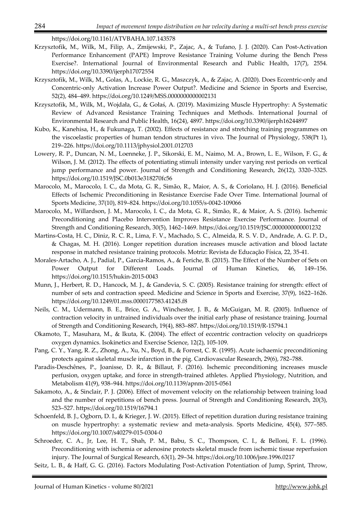https://doi.org/10.1161/ATVBAHA.107.143578

- Krzysztofik, M., Wilk, M., Filip, A., Zmijewski, P., Zajac, A., & Tufano, J. J. (2020). Can Post-Activation Performance Enhancement (PAPE) Improve Resistance Training Volume during the Bench Press Exercise?. International Journal of Environmental Research and Public Health, 17(7), 2554. https://doi.org/10.3390/ijerph17072554
- Krzysztofik, M., Wilk, M., Golas, A., Lockie, R. G., Maszczyk, A., & Zajac, A. (2020). Does Eccentric-only and Concentric-only Activation Increase Power Output?. Medicine and Science in Sports and Exercise, 52(2), 484–489. https://doi.org/10.1249/MSS.0000000000002131
- Krzysztofik, M., Wilk, M., Wojdała, G., & Gołaś, A. (2019). Maximizing Muscle Hypertrophy: A Systematic Review of Advanced Resistance Training Techniques and Methods. International Journal of Environmental Research and Public Health, 16(24), 4897. https://doi.org/10.3390/ijerph16244897
- Kubo, K., Kanehisa, H., & Fukunaga, T. (2002). Effects of resistance and stretching training programmes on the viscoelastic properties of human tendon structures in vivo. The Journal of Physiology, 538(Pt 1), 219–226. https://doi.org/10.1113/jphysiol.2001.012703
- Lowery, R. P., Duncan, N. M., Loenneke, J. P., Sikorski, E. M., Naimo, M. A., Brown, L. E., Wilson, F. G., & Wilson, J. M. (2012). The effects of potentiating stimuli intensity under varying rest periods on vertical jump performance and power. Journal of Strength and Conditioning Research, 26(12), 3320–3325. https://doi.org/10.1519/JSC.0b013e318270fc56
- Marocolo, M., Marocolo, I. C., da Mota, G. R., Simão, R., Maior, A. S., & Coriolano, H. J. (2016). Beneficial Effects of Ischemic Preconditioning in Resistance Exercise Fade Over Time. International Journal of Sports Medicine, 37(10), 819–824. https://doi.org/10.1055/s-0042-109066
- Marocolo, M., Willardson, J. M., Marocolo, I. C., da Mota, G. R., Simão, R., & Maior, A. S. (2016). Ischemic Preconditioning and Placebo Intervention Improves Resistance Exercise Performance. Journal of Strength and Conditioning Research, 30(5), 1462–1469. https://doi.org/10.1519/JSC.0000000000001232
- Martins-Costa, H. C., Diniz, R. C. R., Lima, F. V., Machado, S. C., Almeida, R. S. V. D., Andrade, A. G. P. D., & Chagas, M. H. (2016). Longer repetition duration increases muscle activation and blood lactate response in matched resistance training protocols. Motriz: Revista de Educação Física, 22, 35-41.
- Morales-Artacho, A. J., Padial, P., García-Ramos, A., & Feriche, B. (2015). The Effect of the Number of Sets on Power Output for Different Loads. Journal of Human Kinetics, 46, 149–156. https://doi.org/10.1515/hukin-2015-0043
- Munn, J., Herbert, R. D., Hancock, M. J., & Gandevia, S. C. (2005). Resistance training for strength: effect of number of sets and contraction speed. Medicine and Science in Sports and Exercise, 37(9), 1622–1626. https://doi.org/10.1249/01.mss.0000177583.41245.f8
- Neils, C. M., Udermann, B. E., Brice, G. A., Winchester, J. B., & McGuigan, M. R. (2005). Influence of contraction velocity in untrained individuals over the initial early phase of resistance training. Journal of Strength and Conditioning Research, 19(4), 883–887. https://doi.org/10.1519/R-15794.1
- Okamoto, T., Masuhara, M., & Ikuta, K. (2004). The effect of eccentric contraction velocity on quadriceps oxygen dynamics. Isokinetics and Exercise Science, 12(2), 105-109.
- Pang, C. Y., Yang, R. Z., Zhong, A., Xu, N., Boyd, B., & Forrest, C. R. (1995). Acute ischaemic preconditioning protects against skeletal muscle infarction in the pig. Cardiovascular Research, 29(6), 782–788.
- Paradis-Deschênes, P., Joanisse, D. R., & Billaut, F. (2016). Ischemic preconditioning increases muscle perfusion, oxygen uptake, and force in strength-trained athletes. Applied Physiology, Nutrition, and Metabolism 41(9), 938–944. https://doi.org/10.1139/apnm-2015-0561
- Sakamoto, A., & Sinclair, P. J. (2006). Effect of movement velocity on the relationship between training load and the number of repetitions of bench press. Journal of Strength and Conditioning Research, 20(3), 523–527. https://doi.org/10.1519/16794.1
- Schoenfeld, B. J., Ogborn, D. I., & Krieger, J. W. (2015). Effect of repetition duration during resistance training on muscle hypertrophy: a systematic review and meta-analysis. Sports Medicine, 45(4), 577–585. https://doi.org/10.1007/s40279-015-0304-0
- Schroeder, C. A., Jr, Lee, H. T., Shah, P. M., Babu, S. C., Thompson, C. I., & Belloni, F. L. (1996). Preconditioning with ischemia or adenosine protects skeletal muscle from ischemic tissue reperfusion injury. The Journal of Surgical Research, 63(1), 29–34. https://doi.org/10.1006/jsre.1996.0217
- Seitz, L. B., & Haff, G. G. (2016). Factors Modulating Post-Activation Potentiation of Jump, Sprint, Throw,